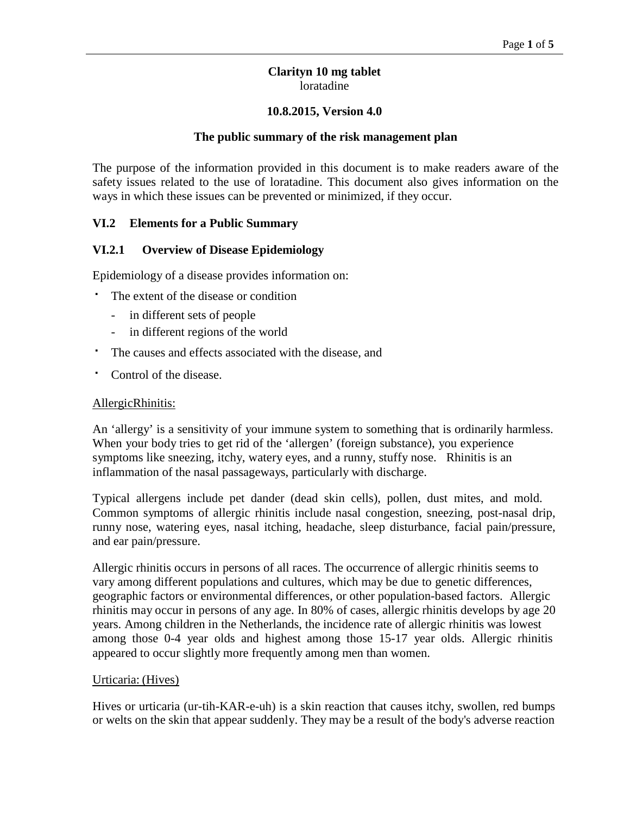### **Clarityn 10 mg tablet** loratadine

### **10.8.2015, Version 4.0**

#### **The public summary of the risk management plan**

The purpose of the information provided in this document is to make readers aware of the safety issues related to the use of loratadine. This document also gives information on the ways in which these issues can be prevented or minimized, if they occur.

### **VI.2 Elements for a Public Summary**

#### **VI.2.1 Overview of Disease Epidemiology**

Epidemiology of a disease provides information on:

- The extent of the disease or condition
	- in different sets of people
	- in different regions of the world
- The causes and effects associated with the disease, and
- Control of the disease.

#### AllergicRhinitis:

An 'allergy' is a sensitivity of your immune system to something that is ordinarily harmless. When your body tries to get rid of the 'allergen' (foreign substance), you experience symptoms like sneezing, itchy, watery eyes, and a runny, stuffy nose. Rhinitis is an inflammation of the nasal passageways, particularly with discharge.

Typical allergens include pet dander (dead skin cells), pollen, dust mites, and mold. Common symptoms of allergic rhinitis include nasal congestion, sneezing, post-nasal drip, runny nose, watering eyes, nasal itching, headache, sleep disturbance, facial pain/pressure, and ear pain/pressure.

Allergic rhinitis occurs in persons of all races. The occurrence of allergic rhinitis seems to vary among different populations and cultures, which may be due to genetic differences, geographic factors or environmental differences, or other population-based factors. Allergic rhinitis may occur in persons of any age. In 80% of cases, allergic rhinitis develops by age 20 years. Among children in the Netherlands, the incidence rate of allergic rhinitis was lowest among those 0-4 year olds and highest among those 15-17 year olds. Allergic rhinitis appeared to occur slightly more frequently among men than women.

#### Urticaria: (Hives)

Hives or urticaria (ur-tih-KAR-e-uh) is a skin reaction that causes itchy, swollen, red bumps or welts on the skin that appear suddenly. They may be a result of the body's adverse reaction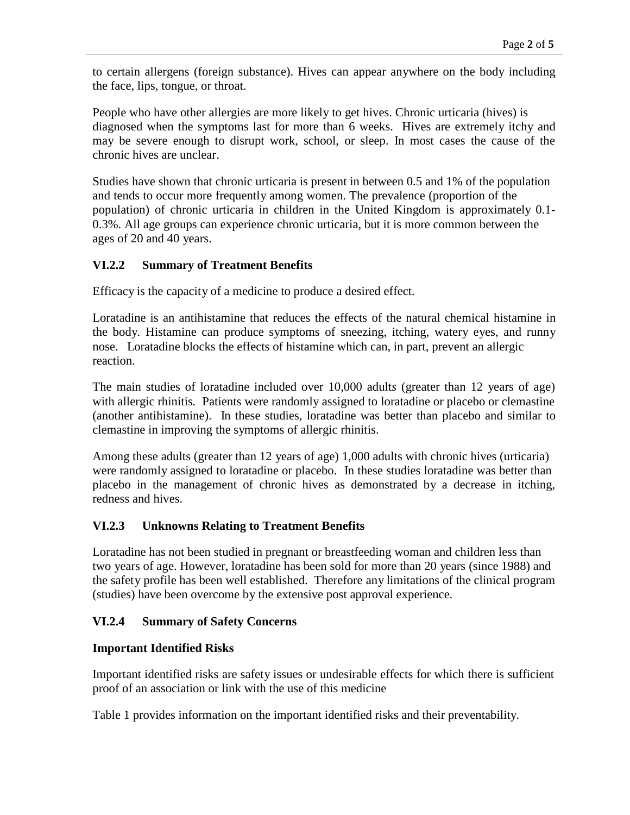to certain allergens (foreign substance). Hives can appear anywhere on the body including the face, lips, tongue, or throat.

People who have other allergies are more likely to get hives. Chronic urticaria (hives) is diagnosed when the symptoms last for more than 6 weeks. Hives are extremely itchy and may be severe enough to disrupt work, school, or sleep. In most cases the cause of the chronic hives are unclear.

Studies have shown that chronic urticaria is present in between 0.5 and 1% of the population and tends to occur more frequently among women. The prevalence (proportion of the population) of chronic urticaria in children in the United Kingdom is approximately 0.1- 0.3%. All age groups can experience chronic urticaria, but it is more common between the ages of 20 and 40 years.

# **VI.2.2 Summary of Treatment Benefits**

Efficacy is the capacity of a medicine to produce a desired effect.

Loratadine is an antihistamine that reduces the effects of the natural chemical histamine in the body. Histamine can produce symptoms of sneezing, itching, watery eyes, and runny nose. Loratadine blocks the effects of histamine which can, in part, prevent an allergic reaction.

The main studies of loratadine included over 10,000 adult*s* (greater than 12 years of age) with allergic rhinitis*.* Patients were randomly assigned to loratadine or placebo or clemastine (another antihistamine). In these studies*,* loratadine was better than placebo and similar to clemastine in improving the symptoms of allergic rhinitis.

Among these adults (greater than 12 years of age) 1,000 adults with chronic hives (urticaria) were randomly assigned to loratadine or placebo. In these studies loratadine was better than placebo in the management of chronic hives as demonstrated by a decrease in itching, redness and hives.

# **VI.2.3 Unknowns Relating to Treatment Benefits**

Loratadine has not been studied in pregnant or breastfeeding woman and children less than two years of age. However, loratadine has been sold for more than 20 years (since 1988) and the safety profile has been well established. Therefore any limitations of the clinical program (studies) have been overcome by the extensive post approval experience.

# **VI.2.4 Summary of Safety Concerns**

# **Important Identified Risks**

Important identified risks are safety issues or undesirable effects for which there is sufficient proof of an association or link with the use of this medicine

Table 1 provides information on the important identified risks and their preventability.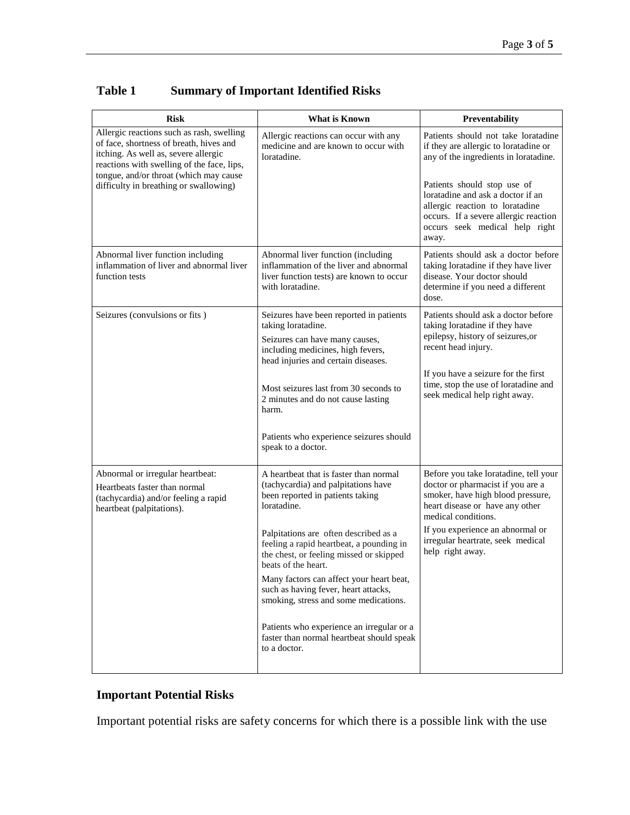| <b>Risk</b>                                                                                                                                                                                                                                                    | <b>What is Known</b>                                                                                                                                | Preventability                                                                                                                                                                                                                                                                                          |
|----------------------------------------------------------------------------------------------------------------------------------------------------------------------------------------------------------------------------------------------------------------|-----------------------------------------------------------------------------------------------------------------------------------------------------|---------------------------------------------------------------------------------------------------------------------------------------------------------------------------------------------------------------------------------------------------------------------------------------------------------|
| Allergic reactions such as rash, swelling<br>of face, shortness of breath, hives and<br>itching. As well as, severe allergic<br>reactions with swelling of the face, lips,<br>tongue, and/or throat (which may cause<br>difficulty in breathing or swallowing) | Allergic reactions can occur with any<br>medicine and are known to occur with<br>loratadine.                                                        | Patients should not take loratadine<br>if they are allergic to loratadine or<br>any of the ingredients in loratadine.<br>Patients should stop use of<br>loratadine and ask a doctor if an<br>allergic reaction to loratadine<br>occurs. If a severe allergic reaction<br>occurs seek medical help right |
| Abnormal liver function including                                                                                                                                                                                                                              | Abnormal liver function (including                                                                                                                  | away.<br>Patients should ask a doctor before                                                                                                                                                                                                                                                            |
| inflammation of liver and abnormal liver<br>function tests                                                                                                                                                                                                     | inflammation of the liver and abnormal<br>liver function tests) are known to occur<br>with loratadine.                                              | taking loratadine if they have liver<br>disease. Your doctor should<br>determine if you need a different<br>dose.                                                                                                                                                                                       |
| Seizures (convulsions or fits)                                                                                                                                                                                                                                 | Seizures have been reported in patients<br>taking loratadine.                                                                                       | Patients should ask a doctor before                                                                                                                                                                                                                                                                     |
|                                                                                                                                                                                                                                                                | Seizures can have many causes,<br>including medicines, high fevers,<br>head injuries and certain diseases.                                          | taking loratadine if they have<br>epilepsy, history of seizures, or<br>recent head injury.<br>If you have a seizure for the first<br>time, stop the use of loratadine and<br>seek medical help right away.                                                                                              |
|                                                                                                                                                                                                                                                                | Most seizures last from 30 seconds to<br>2 minutes and do not cause lasting<br>harm.                                                                |                                                                                                                                                                                                                                                                                                         |
|                                                                                                                                                                                                                                                                | Patients who experience seizures should<br>speak to a doctor.                                                                                       |                                                                                                                                                                                                                                                                                                         |
| Abnormal or irregular heartbeat:<br>Heartbeats faster than normal<br>(tachycardia) and/or feeling a rapid<br>heartbeat (palpitations).                                                                                                                         | A heartbeat that is faster than normal<br>(tachycardia) and palpitations have<br>been reported in patients taking<br>loratadine.                    | Before you take loratadine, tell your<br>doctor or pharmacist if you are a<br>smoker, have high blood pressure,<br>heart disease or have any other<br>medical conditions.                                                                                                                               |
|                                                                                                                                                                                                                                                                | Palpitations are often described as a<br>feeling a rapid heartbeat, a pounding in<br>the chest, or feeling missed or skipped<br>beats of the heart. | If you experience an abnormal or<br>irregular heartrate, seek medical<br>help right away.                                                                                                                                                                                                               |
|                                                                                                                                                                                                                                                                | Many factors can affect your heart beat,<br>such as having fever, heart attacks,<br>smoking, stress and some medications.                           |                                                                                                                                                                                                                                                                                                         |
|                                                                                                                                                                                                                                                                | Patients who experience an irregular or a<br>faster than normal heartbeat should speak<br>to a doctor.                                              |                                                                                                                                                                                                                                                                                                         |

# **Table 1 Summary of Important Identified Risks**

# **Important Potential Risks**

Important potential risks are safety concerns for which there is a possible link with the use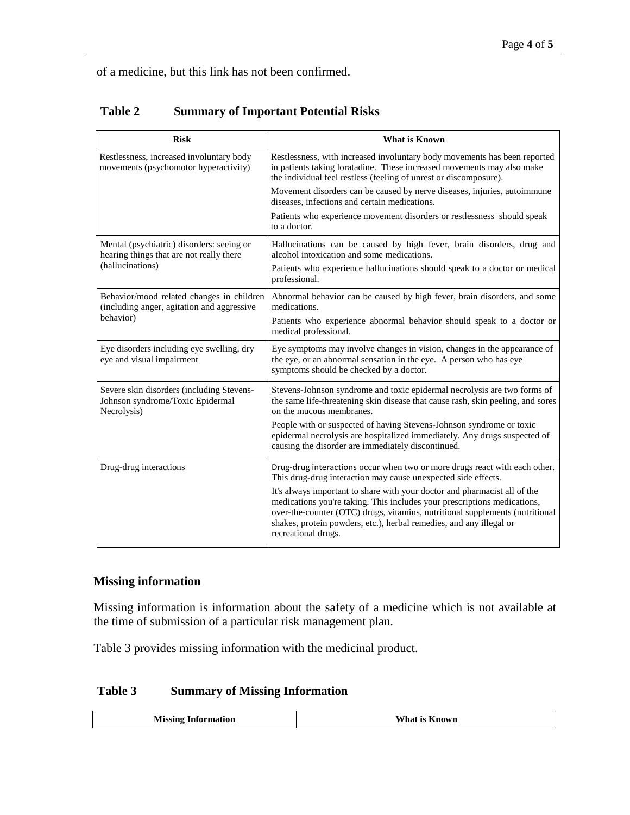of a medicine, but this link has not been confirmed.

| <b>Risk</b>                                                                                               | <b>What is Known</b>                                                                                                                                                                                                                                                                                                                |
|-----------------------------------------------------------------------------------------------------------|-------------------------------------------------------------------------------------------------------------------------------------------------------------------------------------------------------------------------------------------------------------------------------------------------------------------------------------|
| Restlessness, increased involuntary body<br>movements (psychomotor hyperactivity)                         | Restlessness, with increased involuntary body movements has been reported<br>in patients taking loratadine. These increased movements may also make<br>the individual feel restless (feeling of unrest or discomposure).                                                                                                            |
|                                                                                                           | Movement disorders can be caused by nerve diseases, injuries, autoimmune<br>diseases, infections and certain medications.                                                                                                                                                                                                           |
|                                                                                                           | Patients who experience movement disorders or restlessness should speak<br>to a doctor.                                                                                                                                                                                                                                             |
| Mental (psychiatric) disorders: seeing or<br>hearing things that are not really there<br>(hallucinations) | Hallucinations can be caused by high fever, brain disorders, drug and<br>alcohol intoxication and some medications.                                                                                                                                                                                                                 |
|                                                                                                           | Patients who experience hallucinations should speak to a doctor or medical<br>professional.                                                                                                                                                                                                                                         |
| Behavior/mood related changes in children<br>(including anger, agitation and aggressive<br>behavior)      | Abnormal behavior can be caused by high fever, brain disorders, and some<br>medications.                                                                                                                                                                                                                                            |
|                                                                                                           | Patients who experience abnormal behavior should speak to a doctor or<br>medical professional.                                                                                                                                                                                                                                      |
| Eye disorders including eye swelling, dry<br>eye and visual impairment                                    | Eye symptoms may involve changes in vision, changes in the appearance of<br>the eye, or an abnormal sensation in the eye. A person who has eye<br>symptoms should be checked by a doctor.                                                                                                                                           |
| Severe skin disorders (including Stevens-<br>Johnson syndrome/Toxic Epidermal<br>Necrolysis)              | Stevens-Johnson syndrome and toxic epidermal necrolysis are two forms of<br>the same life-threatening skin disease that cause rash, skin peeling, and sores<br>on the mucous membranes.                                                                                                                                             |
|                                                                                                           | People with or suspected of having Stevens-Johnson syndrome or toxic<br>epidermal necrolysis are hospitalized immediately. Any drugs suspected of<br>causing the disorder are immediately discontinued.                                                                                                                             |
| Drug-drug interactions                                                                                    | Drug-drug interactions occur when two or more drugs react with each other.<br>This drug-drug interaction may cause unexpected side effects.                                                                                                                                                                                         |
|                                                                                                           | It's always important to share with your doctor and pharmacist all of the<br>medications you're taking. This includes your prescriptions medications,<br>over-the-counter (OTC) drugs, vitamins, nutritional supplements (nutritional<br>shakes, protein powders, etc.), herbal remedies, and any illegal or<br>recreational drugs. |

## **Missing information**

Missing information is information about the safety of a medicine which is not available at the time of submission of a particular risk management plan.

Table 3 provides missing information with the medicinal product.

# **Table 3 Summary of Missing Information**

| What is Known<br><b>Missing Information</b> |
|---------------------------------------------|
|---------------------------------------------|